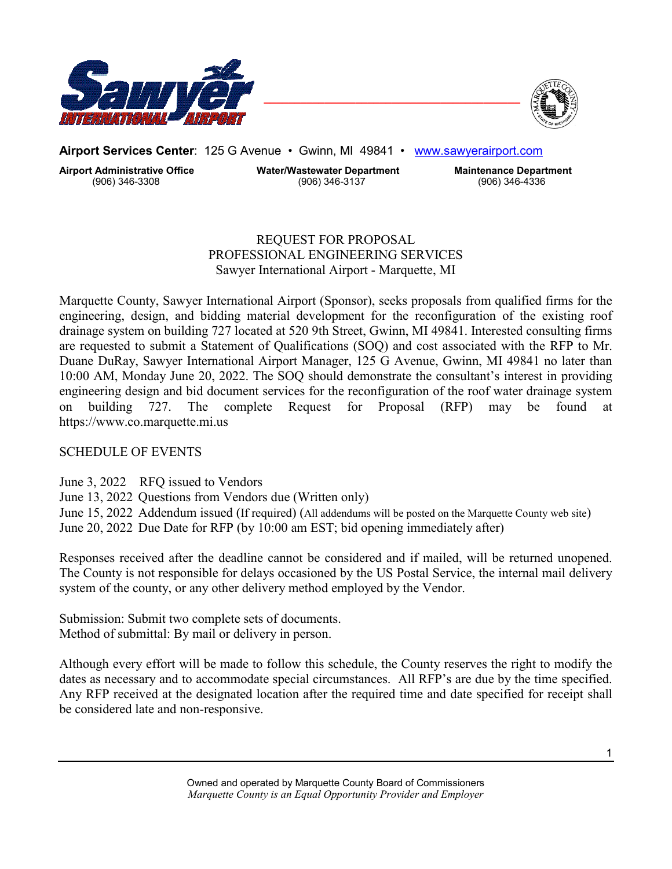



**Airport Services Center**: 125 G Avenue • Gwinn, MI 49841 • www.sawyerairport.com

**Airport Administrative Office Water/Wastewater Department Maintenance Department** (906) 346-3308 (906) 346-3137 (906) 346-4336

# REQUEST FOR PROPOSAL PROFESSIONAL ENGINEERING SERVICES Sawyer International Airport - Marquette, MI

Marquette County, Sawyer International Airport (Sponsor), seeks proposals from qualified firms for the engineering, design, and bidding material development for the reconfiguration of the existing roof drainage system on building 727 located at 520 9th Street, Gwinn, MI 49841. Interested consulting firms are requested to submit a Statement of Qualifications (SOQ) and cost associated with the RFP to Mr. Duane DuRay, Sawyer International Airport Manager, 125 G Avenue, Gwinn, MI 49841 no later than 10:00 AM, Monday June 20, 2022. The SOQ should demonstrate the consultant's interest in providing engineering design and bid document services for the reconfiguration of the roof water drainage system on building 727. The complete Request for Proposal (RFP) may be found at https://www.co.marquette.mi.us

# SCHEDULE OF EVENTS

June 3, 2022 RFQ issued to Vendors

June 13, 2022 Questions from Vendors due (Written only)

June 15, 2022 Addendum issued (If required) (All addendums will be posted on the Marquette County web site) June 20, 2022 Due Date for RFP (by 10:00 am EST; bid opening immediately after)

Responses received after the deadline cannot be considered and if mailed, will be returned unopened. The County is not responsible for delays occasioned by the US Postal Service, the internal mail delivery system of the county, or any other delivery method employed by the Vendor.

Submission: Submit two complete sets of documents. Method of submittal: By mail or delivery in person.

Although every effort will be made to follow this schedule, the County reserves the right to modify the dates as necessary and to accommodate special circumstances. All RFP's are due by the time specified. Any RFP received at the designated location after the required time and date specified for receipt shall be considered late and non-responsive.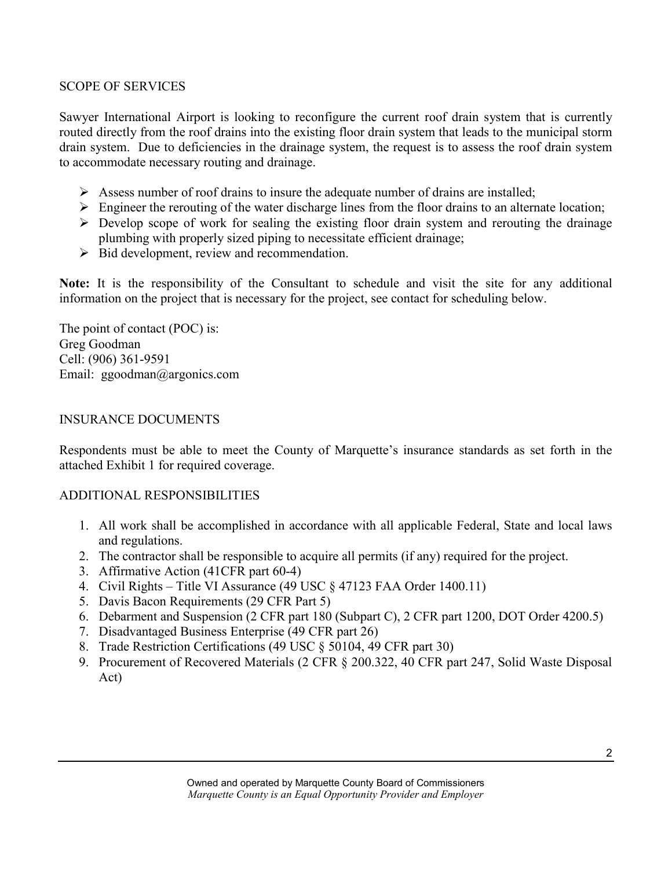## SCOPE OF SERVICES

Sawyer International Airport is looking to reconfigure the current roof drain system that is currently routed directly from the roof drains into the existing floor drain system that leads to the municipal storm drain system. Due to deficiencies in the drainage system, the request is to assess the roof drain system to accommodate necessary routing and drainage.

- $\triangleright$  Assess number of roof drains to insure the adequate number of drains are installed;
- $\triangleright$  Engineer the rerouting of the water discharge lines from the floor drains to an alternate location;
- $\triangleright$  Develop scope of work for sealing the existing floor drain system and rerouting the drainage plumbing with properly sized piping to necessitate efficient drainage;
- $\triangleright$  Bid development, review and recommendation.

**Note:** It is the responsibility of the Consultant to schedule and visit the site for any additional information on the project that is necessary for the project, see contact for scheduling below.

The point of contact (POC) is: Greg Goodman Cell: (906) 361-9591 Email: ggoodman@argonics.com

# INSURANCE DOCUMENTS

Respondents must be able to meet the County of Marquette's insurance standards as set forth in the attached Exhibit 1 for required coverage.

## ADDITIONAL RESPONSIBILITIES

- 1. All work shall be accomplished in accordance with all applicable Federal, State and local laws and regulations.
- 2. The contractor shall be responsible to acquire all permits (if any) required for the project.
- 3. Affirmative Action (41CFR part 60-4)
- 4. Civil Rights Title VI Assurance (49 USC § 47123 FAA Order 1400.11)
- 5. Davis Bacon Requirements (29 CFR Part 5)
- 6. Debarment and Suspension (2 CFR part 180 (Subpart C), 2 CFR part 1200, DOT Order 4200.5)
- 7. Disadvantaged Business Enterprise (49 CFR part 26)
- 8. Trade Restriction Certifications (49 USC § 50104, 49 CFR part 30)
- 9. Procurement of Recovered Materials (2 CFR § 200.322, 40 CFR part 247, Solid Waste Disposal Act)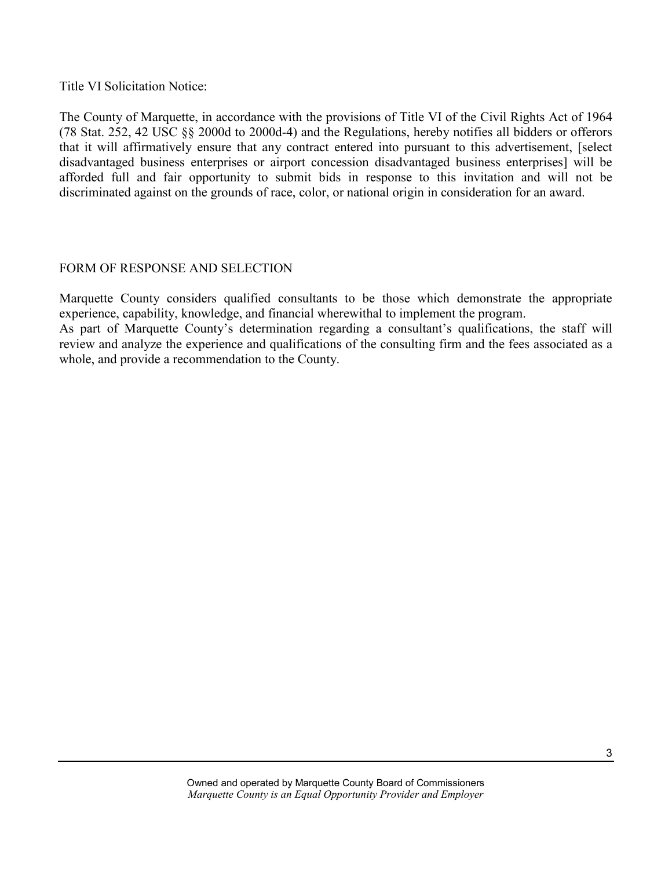Title VI Solicitation Notice:

The County of Marquette, in accordance with the provisions of Title VI of the Civil Rights Act of 1964 (78 Stat. 252, 42 USC §§ 2000d to 2000d-4) and the Regulations, hereby notifies all bidders or offerors that it will affirmatively ensure that any contract entered into pursuant to this advertisement, [select disadvantaged business enterprises or airport concession disadvantaged business enterprises] will be afforded full and fair opportunity to submit bids in response to this invitation and will not be discriminated against on the grounds of race, color, or national origin in consideration for an award.

# FORM OF RESPONSE AND SELECTION

Marquette County considers qualified consultants to be those which demonstrate the appropriate experience, capability, knowledge, and financial wherewithal to implement the program.

As part of Marquette County's determination regarding a consultant's qualifications, the staff will review and analyze the experience and qualifications of the consulting firm and the fees associated as a whole, and provide a recommendation to the County.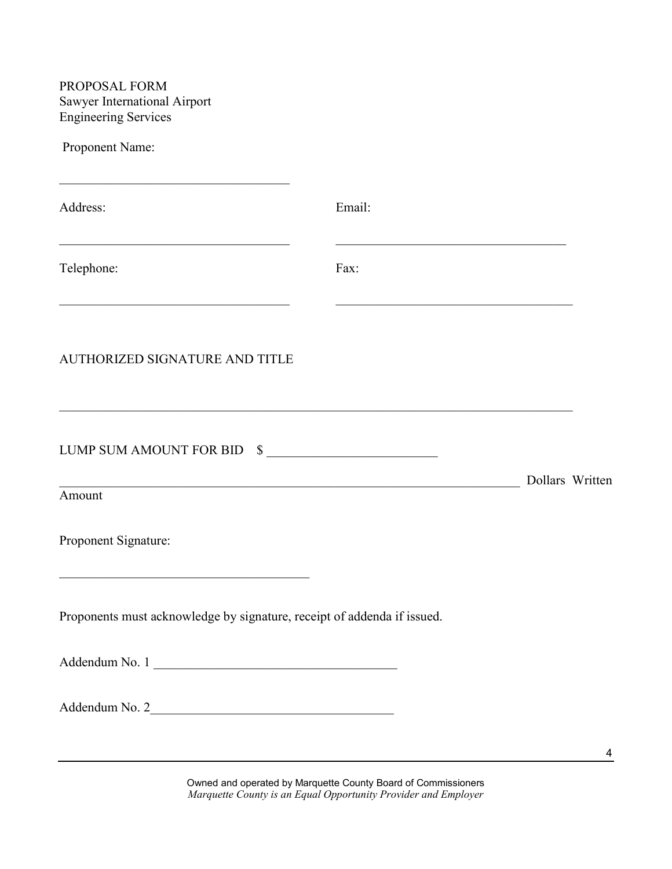PROPOSAL FORM Sawyer International Airport Engineering Services Proponent Name:  $\mathcal{L}_\mathcal{L}$  , which is a set of the set of the set of the set of the set of the set of the set of the set of the set of the set of the set of the set of the set of the set of the set of the set of the set of the set of Address: Email:  $\mathcal{L}_\text{max}$  , and the contribution of the contribution of the contribution of the contribution of the contribution of the contribution of the contribution of the contribution of the contribution of the contribution of t Telephone: Fax:  $\_$ AUTHORIZED SIGNATURE AND TITLE \_\_\_\_\_\_\_\_\_\_\_\_\_\_\_\_\_\_\_\_\_\_\_\_\_\_\_\_\_\_\_\_\_\_\_\_\_\_\_\_\_\_\_\_\_\_\_\_\_\_\_\_\_\_\_\_\_\_\_\_\_\_\_\_\_\_\_\_\_\_\_\_\_\_\_\_\_\_ LUMP SUM AMOUNT FOR BID  $\quad \ \ \, \mathbb{S}$ \_\_\_\_\_\_\_\_\_\_\_\_\_\_\_\_\_\_\_\_\_\_\_\_\_\_\_\_\_\_\_\_\_\_\_\_\_\_\_\_\_\_\_\_\_\_\_\_\_\_\_\_\_\_\_\_\_\_\_\_\_\_\_\_\_\_\_\_\_\_ Dollars Written Amount Proponent Signature: \_\_\_\_\_\_\_\_\_\_\_\_\_\_\_\_\_\_\_\_\_\_\_\_\_\_\_\_\_\_\_\_\_\_\_\_\_\_ Proponents must acknowledge by signature, receipt of addenda if issued. Addendum No. 1 \_\_\_\_\_\_\_\_\_\_\_\_\_\_\_\_\_\_\_\_\_\_\_\_\_\_\_\_\_\_\_\_\_\_\_\_\_ Addendum No. 2\_\_\_\_\_\_\_\_\_\_\_\_\_\_\_\_\_\_\_\_\_\_\_\_\_\_\_\_\_\_\_\_\_\_\_\_\_

> Owned and operated by Marquette County Board of Commissioners *Marquette County is an Equal Opportunity Provider and Employer*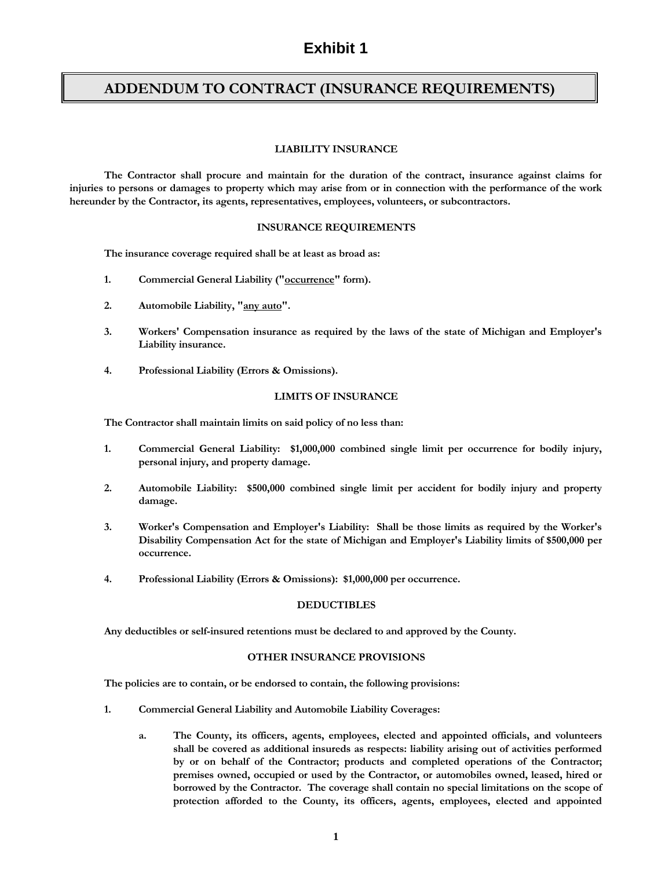# **Exhibit 1**

# **ADDENDUM TO CONTRACT (INSURANCE REQUIREMENTS)**

## **LIABILITY INSURANCE**

**The Contractor shall procure and maintain for the duration of the contract, insurance against claims for injuries to persons or damages to property which may arise from or in connection with the performance of the work hereunder by the Contractor, its agents, representatives, employees, volunteers, or subcontractors.**

## **INSURANCE REQUIREMENTS**

**The insurance coverage required shall be at least as broad as:**

- **1. Commercial General Liability ("occurrence" form).**
- **2. Automobile Liability, "any auto".**
- **3. Workers' Compensation insurance as required by the laws of the state of Michigan and Employer's Liability insurance.**
- **4. Professional Liability (Errors & Omissions).**

## **LIMITS OF INSURANCE**

**The Contractor shall maintain limits on said policy of no less than:**

- **1. Commercial General Liability: \$1,000,000 combined single limit per occurrence for bodily injury, personal injury, and property damage.**
- **2. Automobile Liability: \$500,000 combined single limit per accident for bodily injury and property damage.**
- **3. Worker's Compensation and Employer's Liability: Shall be those limits as required by the Worker's Disability Compensation Act for the state of Michigan and Employer's Liability limits of \$500,000 per occurrence.**
- **4. Professional Liability (Errors & Omissions): \$1,000,000 per occurrence.**

## **DEDUCTIBLES**

**Any deductibles or self-insured retentions must be declared to and approved by the County.**

### **OTHER INSURANCE PROVISIONS**

**The policies are to contain, or be endorsed to contain, the following provisions:**

- **1. Commercial General Liability and Automobile Liability Coverages:**
	- **a. The County, its officers, agents, employees, elected and appointed officials, and volunteers shall be covered as additional insureds as respects: liability arising out of activities performed by or on behalf of the Contractor; products and completed operations of the Contractor; premises owned, occupied or used by the Contractor, or automobiles owned, leased, hired or borrowed by the Contractor. The coverage shall contain no special limitations on the scope of protection afforded to the County, its officers, agents, employees, elected and appointed**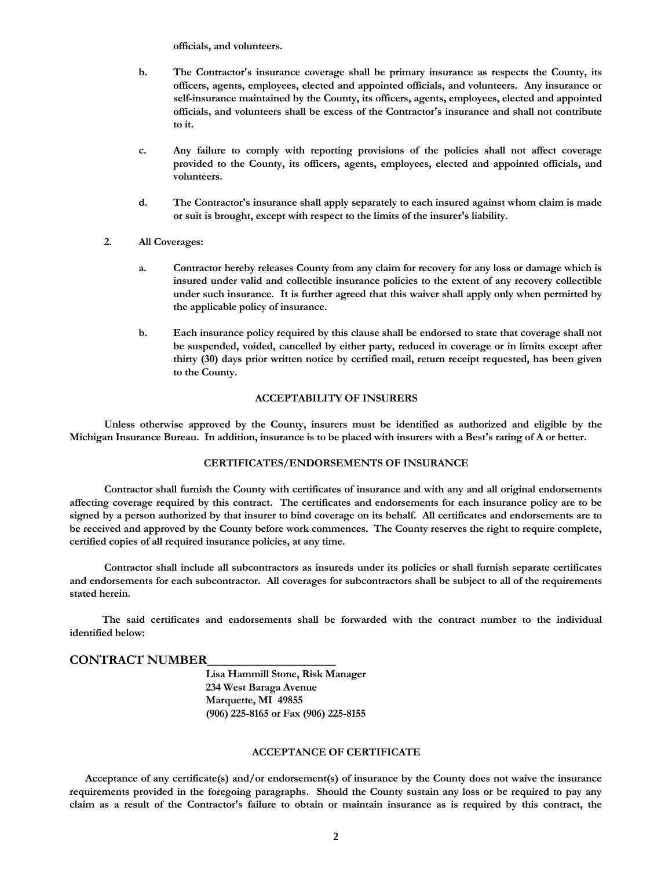**officials, and volunteers.**

- **b. The Contractor's insurance coverage shall be primary insurance as respects the County, its officers, agents, employees, elected and appointed officials, and volunteers. Any insurance or self-insurance maintained by the County, its officers, agents, employees, elected and appointed officials, and volunteers shall be excess of the Contractor's insurance and shall not contribute to it.**
- **c. Any failure to comply with reporting provisions of the policies shall not affect coverage provided to the County, its officers, agents, employees, elected and appointed officials, and volunteers.**
- **d. The Contractor's insurance shall apply separately to each insured against whom claim is made or suit is brought, except with respect to the limits of the insurer's liability.**
- **2. All Coverages:**
	- **a. Contractor hereby releases County from any claim for recovery for any loss or damage which is insured under valid and collectible insurance policies to the extent of any recovery collectible under such insurance. It is further agreed that this waiver shall apply only when permitted by the applicable policy of insurance.**
	- **b. Each insurance policy required by this clause shall be endorsed to state that coverage shall not be suspended, voided, cancelled by either party, reduced in coverage or in limits except after thirty (30) days prior written notice by certified mail, return receipt requested, has been given to the County.**

### **ACCEPTABILITY OF INSURERS**

**Unless otherwise approved by the County, insurers must be identified as authorized and eligible by the Michigan Insurance Bureau. In addition, insurance is to be placed with insurers with a Best's rating of A or better.**

#### **CERTIFICATES/ENDORSEMENTS OF INSURANCE**

**Contractor shall furnish the County with certificates of insurance and with any and all original endorsements affecting coverage required by this contract. The certificates and endorsements for each insurance policy are to be signed by a person authorized by that insurer to bind coverage on its behalf. All certificates and endorsements are to be received and approved by the County before work commences. The County reserves the right to require complete, certified copies of all required insurance policies, at any time.**

**Contractor shall include all subcontractors as insureds under its policies or shall furnish separate certificates and endorsements for each subcontractor. All coverages for subcontractors shall be subject to all of the requirements stated herein.**

**The said certificates and endorsements shall be forwarded with the contract number to the individual identified below:**

### **CONTRACT NUMBER\_\_\_\_\_\_\_\_\_\_\_\_\_\_\_\_\_\_\_\_**

**Lisa Hammill Stone, Risk Manager 234 West Baraga Avenue Marquette, MI 49855 (906) 225-8165 or Fax (906) 225-8155**

#### **ACCEPTANCE OF CERTIFICATE**

 **Acceptance of any certificate(s) and/or endorsement(s) of insurance by the County does not waive the insurance requirements provided in the foregoing paragraphs. Should the County sustain any loss or be required to pay any claim as a result of the Contractor's failure to obtain or maintain insurance as is required by this contract, the**